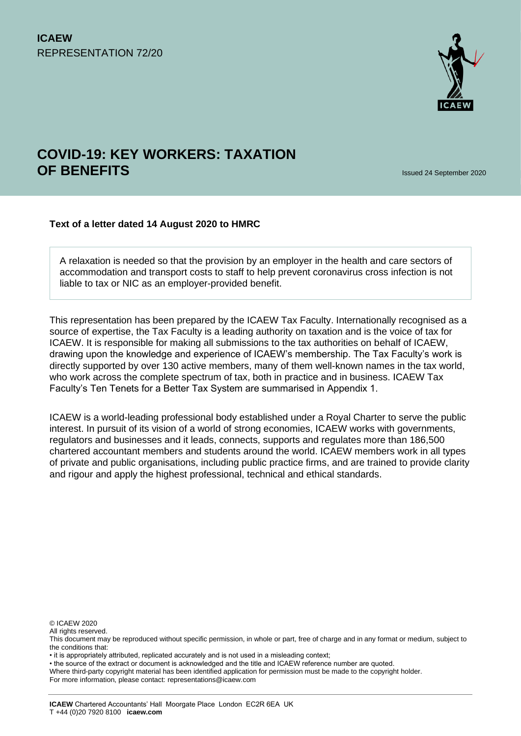

# **COVID-19: KEY WORKERS: TAXATION OF BENEFITS** Issued 24 September 2020

#### **Text of a letter dated 14 August 2020 to HMRC**

A relaxation is needed so that the provision by an employer in the health and care sectors of accommodation and transport costs to staff to help prevent coronavirus cross infection is not liable to tax or NIC as an employer-provided benefit.

This representation has been prepared by the ICAEW Tax Faculty. Internationally recognised as a source of expertise, the Tax Faculty is a leading authority on taxation and is the voice of tax for ICAEW. It is responsible for making all submissions to the tax authorities on behalf of ICAEW, drawing upon the knowledge and experience of ICAEW's membership. The Tax Faculty's work is directly supported by over 130 active members, many of them well-known names in the tax world, who work across the complete spectrum of tax, both in practice and in business. ICAEW Tax Faculty's Ten Tenets for a Better Tax System are summarised in Appendix 1.

ICAEW is a world-leading professional body established under a Royal Charter to serve the public interest. In pursuit of its vision of a world of strong economies, ICAEW works with governments, regulators and businesses and it leads, connects, supports and regulates more than 186,500 chartered accountant members and students around the world. ICAEW members work in all types of private and public organisations, including public practice firms, and are trained to provide clarity and rigour and apply the highest professional, technical and ethical standards.

© ICAEW 2020

All rights reserved.

• the source of the extract or document is acknowledged and the title and ICAEW reference number are quoted.

For more information, please contact: representations@icaew.com

This document may be reproduced without specific permission, in whole or part, free of charge and in any format or medium, subject to the conditions that:

<sup>•</sup> it is appropriately attributed, replicated accurately and is not used in a misleading context;

Where third-party copyright material has been identified application for permission must be made to the copyright holder.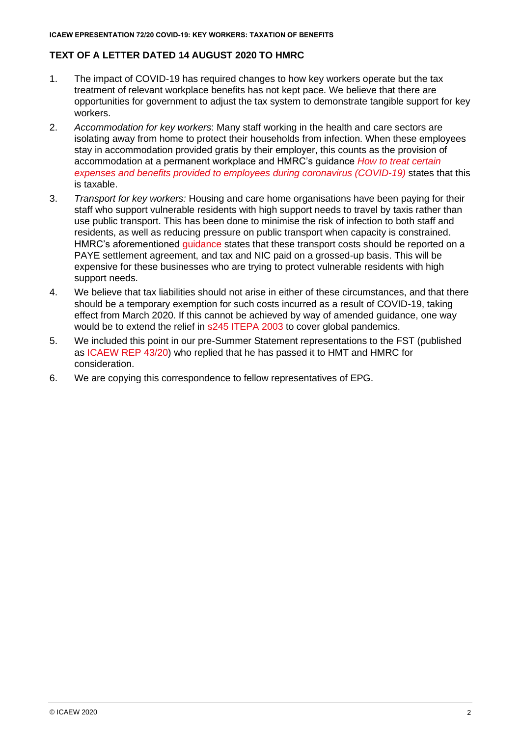## **TEXT OF A LETTER DATED 14 AUGUST 2020 TO HMRC**

- 1. The impact of COVID-19 has required changes to how key workers operate but the tax treatment of relevant workplace benefits has not kept pace. We believe that there are opportunities for government to adjust the tax system to demonstrate tangible support for key workers.
- 2. *Accommodation for key workers*: Many staff working in the health and care sectors are isolating away from home to protect their households from infection. When these employees stay in accommodation provided gratis by their employer, this counts as the provision of accommodation at a permanent workplace and HMRC's guidance *[How to treat certain](https://www.gov.uk/guidance/how-to-treat-certain-expenses-and-benefits-provided-to-employees-during-coronavirus-covid-19)  [expenses and benefits provided to employees during coronavirus \(COVID-19\)](https://www.gov.uk/guidance/how-to-treat-certain-expenses-and-benefits-provided-to-employees-during-coronavirus-covid-19)* states that this is taxable.
- 3. *Transport for key workers:* Housing and care home organisations have been paying for their staff who support vulnerable residents with high support needs to travel by taxis rather than use public transport. This has been done to minimise the risk of infection to both staff and residents, as well as reducing pressure on public transport when capacity is constrained. HMRC's aforementioned [guidance](https://www.gov.uk/guidance/how-to-treat-certain-expenses-and-benefits-provided-to-employees-during-coronavirus-covid-19) states that these transport costs should be reported on a PAYE settlement agreement, and tax and NIC paid on a grossed-up basis. This will be expensive for these businesses who are trying to protect vulnerable residents with high support needs.
- 4. We believe that tax liabilities should not arise in either of these circumstances, and that there should be a temporary exemption for such costs incurred as a result of COVID-19, taking effect from March 2020. If this cannot be achieved by way of amended guidance, one way would be to extend the relief in [s245 ITEPA 2003](https://www.taxworld.co.uk/income-tax/itepa-2003/part-04-employment-income-exemptions/chapter-03-exemptions-other-transport-travel-and-subsistence/section-245-travelling-and-subsistence-during-public-transport-strikes/) to cover global pandemics.
- 5. We included this point in our pre-Summer Statement representations to the FST (published as [ICAEW REP 43/20\)](https://www.icaew.com/-/media/corporate/files/technical/icaew-representations/2020/icaew-rep-4320-frank-haskew-letter-to-fst.ashx) who replied that he has passed it to HMT and HMRC for consideration.
- 6. We are copying this correspondence to fellow representatives of EPG.